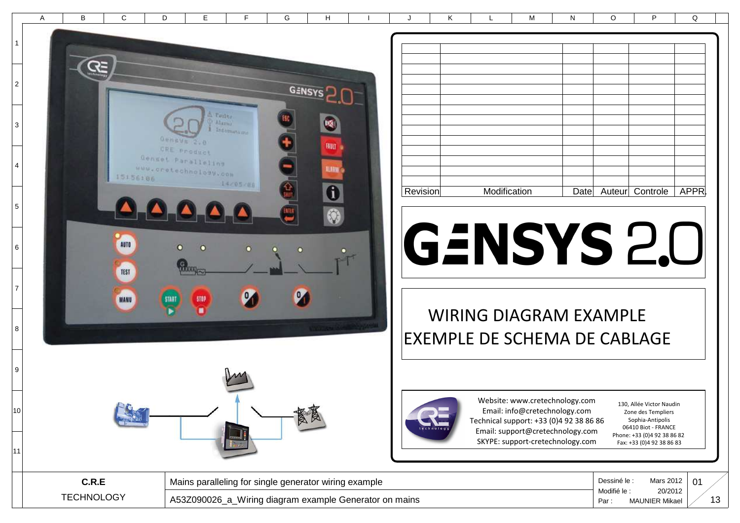|                          | A | B | C        | D          | E.                                          | F           | G             | H              | J        | K | L            | M | N    | $\circ$ | P               | Q     |
|--------------------------|---|---|----------|------------|---------------------------------------------|-------------|---------------|----------------|----------|---|--------------|---|------|---------|-----------------|-------|
|                          |   |   |          |            |                                             |             |               |                |          |   |              |   |      |         |                 |       |
| $\overline{A}$           |   |   |          |            |                                             |             |               |                |          |   |              |   |      |         |                 |       |
| --                       |   |   |          |            |                                             |             |               |                |          |   |              |   |      |         |                 |       |
| $\overline{2}$           |   |   |          |            |                                             |             |               |                |          |   |              |   |      |         |                 |       |
| —                        |   |   |          |            |                                             |             | <b>GENSYS</b> |                |          |   |              |   |      |         |                 |       |
|                          |   |   |          |            | di Paules.                                  |             |               | ug,            |          |   |              |   |      |         |                 |       |
| $\mathbf{3}$             |   |   |          |            | Alarmy                                      | Information |               |                |          |   |              |   |      |         |                 |       |
| $\overline{\phantom{0}}$ |   |   |          | Geneve 2.0 | CRE Product                                 |             |               | HAUT           |          |   |              |   |      |         |                 |       |
| $\overline{4}$           |   |   |          |            | Genget Paralleling<br>uuu.cretechhology.com |             |               | <b>ALARM A</b> |          |   |              |   |      |         |                 |       |
| $\overline{\phantom{0}}$ |   |   | 15156106 |            |                                             | 14/05/06    | fr.           | A.             | Revision |   | Modification |   | Date |         | Auteur Controle | APPR. |

## GENSYS 2.0

## WIRING DIAGRAM EXAMPLEEXEMPLE DE SCHEMA DE CABLAGE



Website: www.cretechnology.com Email: info@cretechnology.com Technical support: +33 (0)4 92 38 86 86Email: support@cretechnology.comSKYPE: support-cretechnology.com

130, Allée Victor NaudinZone des Templiers Sophia-Antipolis 06410 Biot - FRANCE Phone: +33 (0)4 92 38 86 82 Fax: +33 (0)4 92 38 86 83

| C.R.E                   | . .<br>; paralleling for single generator wiring example<br>Mains | Dessiné le .      | Mars 2012                        | ∩.<br>ັບ |  |
|-------------------------|-------------------------------------------------------------------|-------------------|----------------------------------|----------|--|
| OGY.<br><b>TECHNOLL</b> | d_Wiring diagram example Generator on mains<br>A53Z090026 a       | Modifié le<br>Par | 20/2012<br><b>MAUNIER Mikael</b> |          |  |

O

5

6

**AUTO** 

TEST

**MANU** 

7

8

9

10

11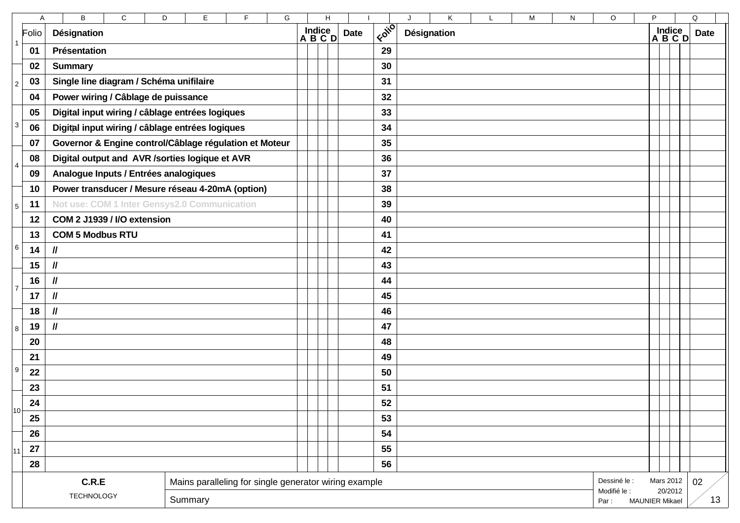|                 | A          | В<br>C<br>D                                            |                                                       | H |             |                                   | Κ<br>J               | L                         | M            | N | O         | P. |                     |  | Q           |  |  |
|-----------------|------------|--------------------------------------------------------|-------------------------------------------------------|---|-------------|-----------------------------------|----------------------|---------------------------|--------------|---|-----------|----|---------------------|--|-------------|--|--|
|                 | Folio      | <b>Désignation</b>                                     | Indice<br>A B C D                                     |   | <b>Date</b> | $k$ $\overline{q}$ $\overline{q}$ | <b>Désignation</b>   |                           |              |   |           |    | $Indice$<br>A B C D |  | <b>Date</b> |  |  |
| 1               | 01         | Présentation                                           |                                                       |   |             | 29                                |                      |                           |              |   |           |    |                     |  |             |  |  |
|                 | 02         | <b>Summary</b>                                         |                                                       |   |             |                                   |                      | 30                        |              |   |           |    |                     |  |             |  |  |
| $\overline{2}$  | 03         | Single line diagram / Schéma unifilaire                |                                                       |   |             |                                   |                      | 31                        |              |   |           |    |                     |  |             |  |  |
|                 | 04         | Power wiring / Câblage de puissance                    |                                                       |   |             |                                   |                      | 32                        |              |   |           |    |                     |  |             |  |  |
|                 | 05         | Digital input wiring / câblage entrées logiques        |                                                       |   |             |                                   |                      | 33                        |              |   |           |    |                     |  |             |  |  |
| 3               | 06         | Digital input wiring / câblage entrées logiques        |                                                       |   |             |                                   |                      | 34                        |              |   |           |    |                     |  |             |  |  |
|                 | 07         | Governor & Engine control/Câblage régulation et Moteur |                                                       |   |             |                                   |                      | 35                        |              |   |           |    |                     |  |             |  |  |
| 4               | 08         | Digital output and AVR /sorties logique et AVR         |                                                       |   |             |                                   |                      | 36                        |              |   |           |    |                     |  |             |  |  |
|                 | 09         | Analogue Inputs / Entrées analogiques                  |                                                       |   |             |                                   |                      | 37                        |              |   |           |    |                     |  |             |  |  |
|                 | 10         | Power transducer / Mesure réseau 4-20mA (option)       |                                                       |   |             |                                   |                      | 38                        |              |   |           |    |                     |  |             |  |  |
| $5\overline{)}$ | 11         | Not use: COM 1 Inter Gensys2.0 Communication           |                                                       |   |             |                                   |                      | 39                        |              |   |           |    |                     |  |             |  |  |
|                 | 12         | COM 2 J1939 / I/O extension                            |                                                       |   |             |                                   |                      | 40                        |              |   |           |    |                     |  |             |  |  |
|                 | 13         | <b>COM 5 Modbus RTU</b>                                |                                                       |   |             |                                   |                      | 41                        |              |   |           |    |                     |  |             |  |  |
| 6               | 14         | $\mathcal{U}$                                          |                                                       |   |             |                                   |                      | 42                        |              |   |           |    |                     |  |             |  |  |
|                 | 15         | $\mathcal{U}$                                          |                                                       |   |             |                                   |                      | 43                        |              |   |           |    |                     |  |             |  |  |
| $\overline{7}$  | 16         | $\mathcal{U}$                                          |                                                       |   |             |                                   |                      | 44                        |              |   |           |    |                     |  |             |  |  |
|                 | 17         | $\mathcal{U}$                                          |                                                       |   |             |                                   |                      | 45                        |              |   |           |    |                     |  |             |  |  |
|                 | 18         | $\mathcal{U}$                                          |                                                       |   |             |                                   |                      | 46                        |              |   |           |    |                     |  |             |  |  |
| 8               | 19         | $\mathcal{U}$                                          |                                                       |   |             |                                   |                      | 47                        |              |   |           |    |                     |  |             |  |  |
|                 | 20         |                                                        |                                                       |   |             |                                   |                      | 48                        |              |   |           |    |                     |  |             |  |  |
|                 | 21         |                                                        |                                                       |   |             |                                   |                      | 49                        |              |   |           |    |                     |  |             |  |  |
| 9               | 22         |                                                        |                                                       |   |             |                                   |                      | 50                        |              |   |           |    |                     |  |             |  |  |
|                 | 23         |                                                        |                                                       |   |             |                                   |                      | 51                        |              |   |           |    |                     |  |             |  |  |
| 10 <sup>1</sup> | 24         |                                                        |                                                       |   |             |                                   |                      | 52                        |              |   |           |    |                     |  |             |  |  |
|                 | 25         |                                                        |                                                       |   |             |                                   |                      | 53                        |              |   |           |    |                     |  |             |  |  |
|                 | 26         |                                                        |                                                       |   |             |                                   |                      | 54                        |              |   |           |    |                     |  |             |  |  |
| 11              | ${\bf 27}$ |                                                        |                                                       |   |             |                                   |                      | 55                        |              |   |           |    |                     |  |             |  |  |
|                 | 28         |                                                        |                                                       |   |             |                                   |                      | 56                        |              |   |           |    |                     |  |             |  |  |
|                 |            | C.R.E                                                  | Mains paralleling for single generator wiring example |   |             |                                   |                      |                           | Dessiné le : |   | Mars 2012 |    | 02                  |  |             |  |  |
|                 |            | <b>TECHNOLOGY</b><br>Summary                           |                                                       |   |             |                                   | Modifié le :<br>Par: | 20/2012<br>MAUNIER Mikael | 13           |   |           |    |                     |  |             |  |  |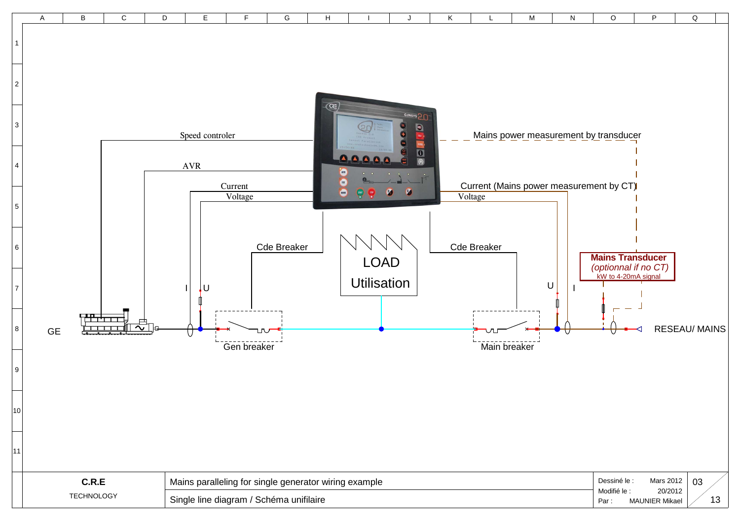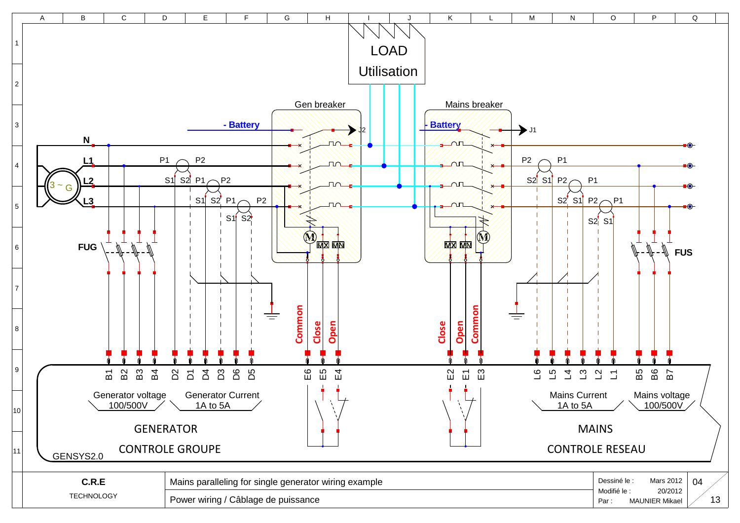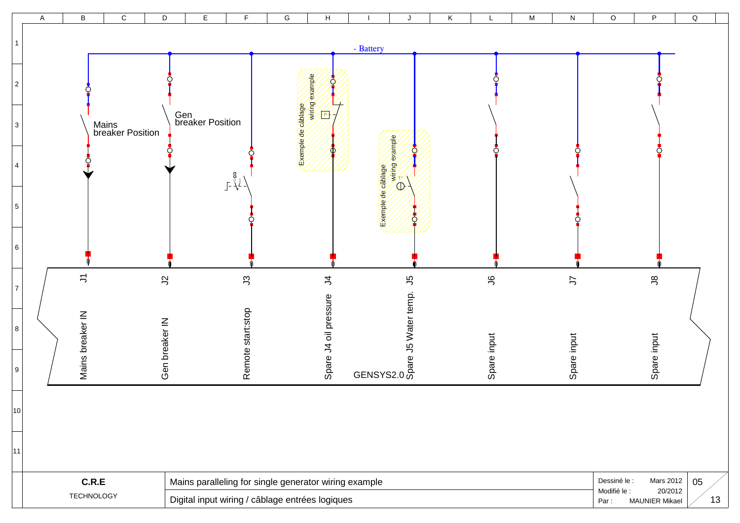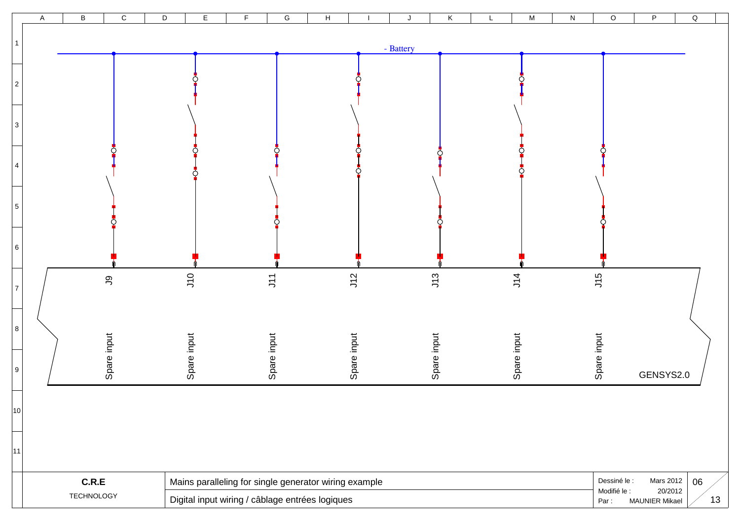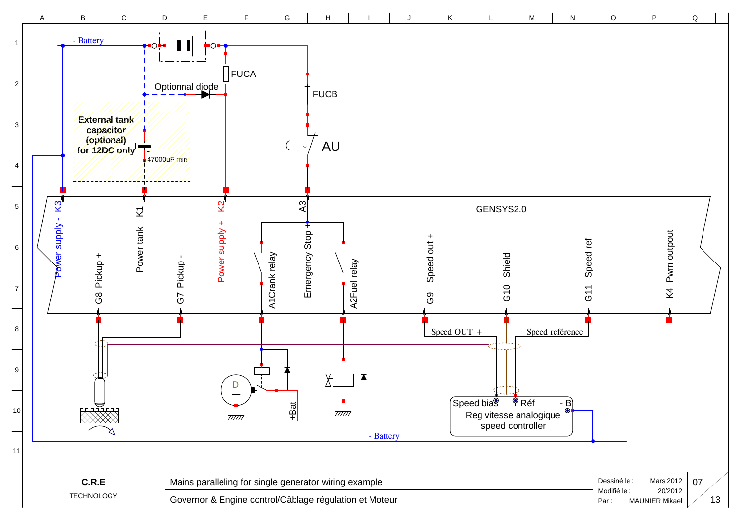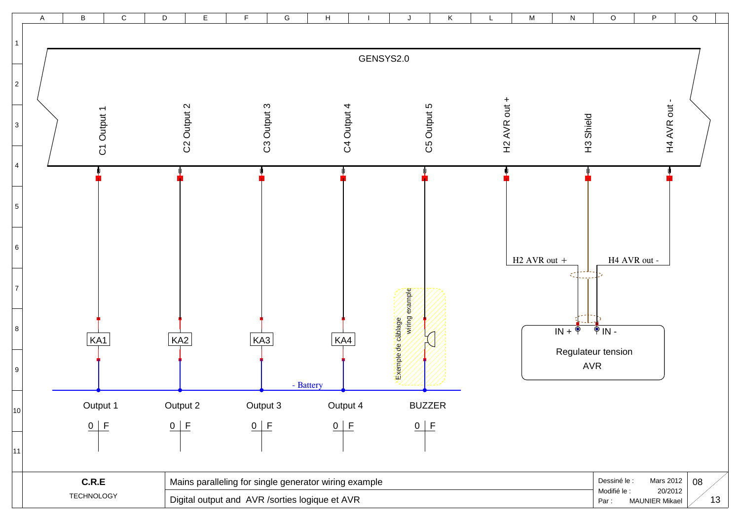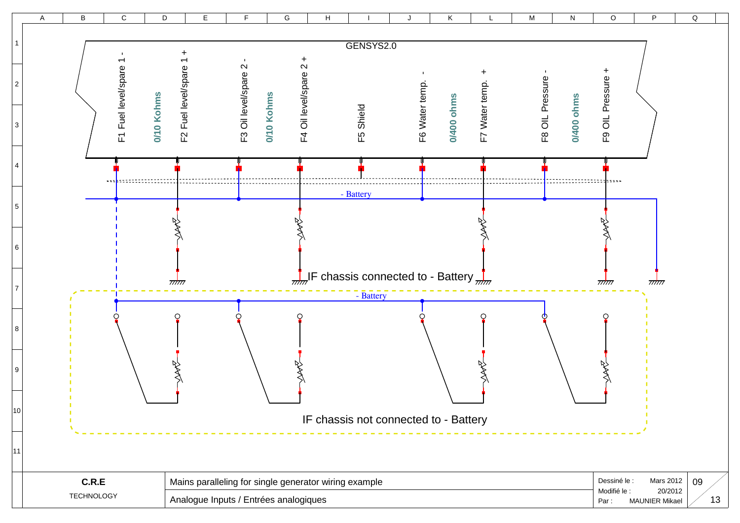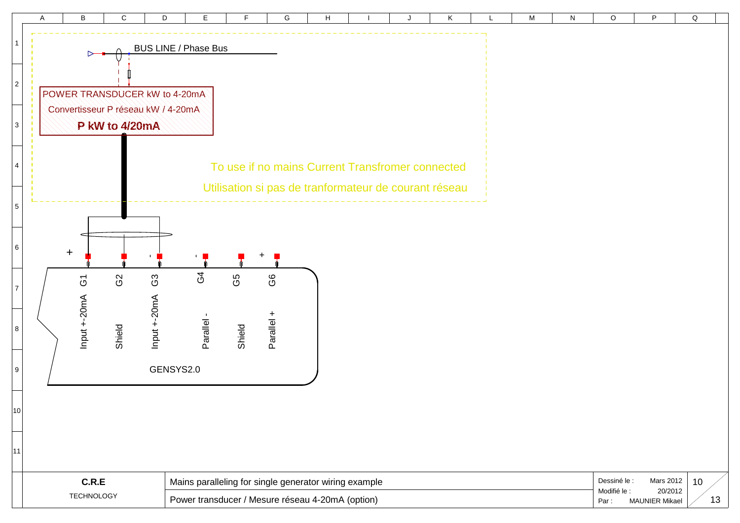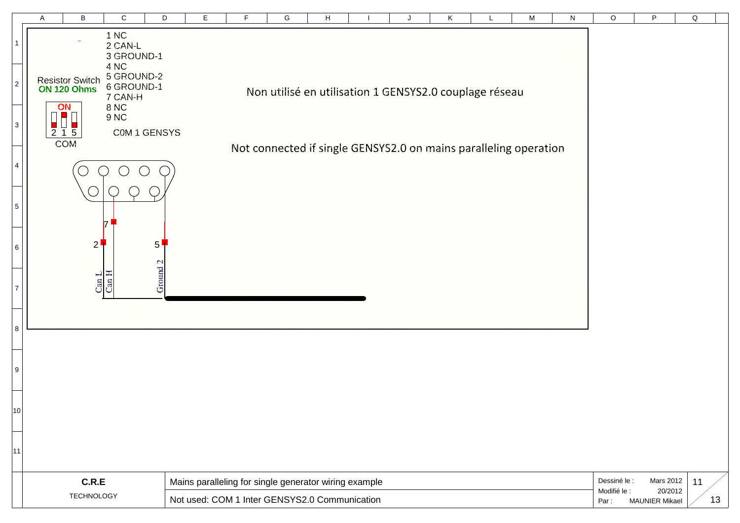|                   |                | A         | B                                     | C                                           | D                               |                                                                                                        | Е | F |  | G | H |                                                                  | J |  | Κ | L | M                                             | N  | O            | P                           | Q  |
|-------------------|----------------|-----------|---------------------------------------|---------------------------------------------|---------------------------------|--------------------------------------------------------------------------------------------------------|---|---|--|---|---|------------------------------------------------------------------|---|--|---|---|-----------------------------------------------|----|--------------|-----------------------------|----|
|                   |                |           |                                       | 1 NC<br>2 CAN-L<br>3 GROUND-1               |                                 |                                                                                                        |   |   |  |   |   |                                                                  |   |  |   |   |                                               |    |              |                             |    |
|                   | $\overline{2}$ |           | <b>Resistor Switch</b><br>ON 120 Ohms | 4 NC<br>5 GROUND-2<br>6 GROUND-1<br>7 CAN-H |                                 |                                                                                                        |   |   |  |   |   | Non utilisé en utilisation 1 GENSYS2.0 couplage réseau           |   |  |   |   |                                               |    |              |                             |    |
|                   | 3              | ON<br>215 |                                       | <b>8 NC</b><br><b>9 NC</b>                  | COM 1 GENSYS                    |                                                                                                        |   |   |  |   |   |                                                                  |   |  |   |   |                                               |    |              |                             |    |
|                   | 4              | COM       |                                       |                                             |                                 |                                                                                                        |   |   |  |   |   | Not connected if single GENSYS2.0 on mains paralleling operation |   |  |   |   |                                               |    |              |                             |    |
|                   | 5              |           |                                       |                                             |                                 |                                                                                                        |   |   |  |   |   |                                                                  |   |  |   |   |                                               |    |              |                             |    |
|                   | 6              |           | $2^1$                                 |                                             | $\mathscr{P}_1$<br>$\mathbf{C}$ |                                                                                                        |   |   |  |   |   |                                                                  |   |  |   |   |                                               |    |              |                             |    |
|                   | $\overline{7}$ |           | $\frac{\text{Can L}}{\text{Can H}}$   |                                             | Ground                          |                                                                                                        |   |   |  |   |   |                                                                  |   |  |   |   |                                               |    |              |                             |    |
| 8                 |                |           |                                       |                                             |                                 |                                                                                                        |   |   |  |   |   |                                                                  |   |  |   |   |                                               |    |              |                             |    |
|                   | 9              |           |                                       |                                             |                                 |                                                                                                        |   |   |  |   |   |                                                                  |   |  |   |   |                                               |    |              |                             |    |
| 10                |                |           |                                       |                                             |                                 |                                                                                                        |   |   |  |   |   |                                                                  |   |  |   |   |                                               |    |              |                             |    |
| 11                |                |           |                                       |                                             |                                 |                                                                                                        |   |   |  |   |   |                                                                  |   |  |   |   |                                               |    |              |                             |    |
|                   |                |           | C.R.E                                 |                                             |                                 |                                                                                                        |   |   |  |   |   |                                                                  |   |  |   |   |                                               |    | Dessiné le : | <b>Mars 2012</b><br>20/2012 | 11 |
| <b>TECHNOLOGY</b> |                |           |                                       |                                             |                                 | Mains paralleling for single generator wiring example<br>Not used: COM 1 Inter GENSYS2.0 Communication |   |   |  |   |   |                                                                  |   |  |   |   | Modifié le :<br><b>MAUNIER Mikael</b><br>Par: | 13 |              |                             |    |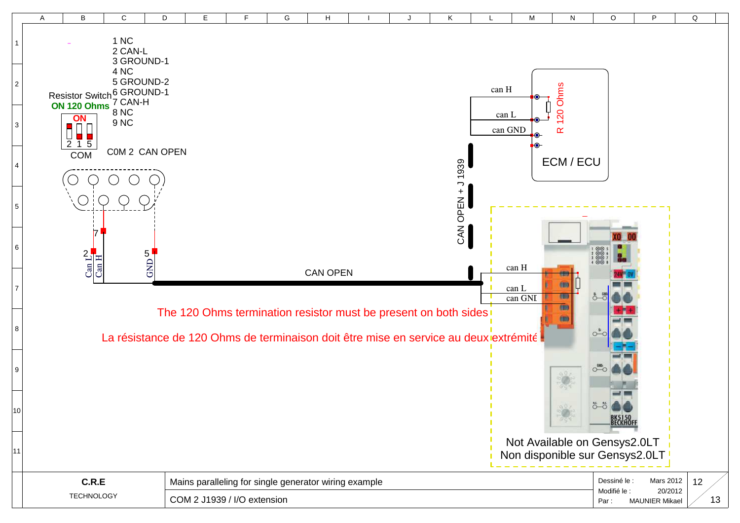|                | Α                 | B                         | C                                                                                    | D                              | E | F                                                     | G | H               |  |                                                                 | Κ            | L     | M                              | N                     | O                                              | P         | Q  |  |  |
|----------------|-------------------|---------------------------|--------------------------------------------------------------------------------------|--------------------------------|---|-------------------------------------------------------|---|-----------------|--|-----------------------------------------------------------------|--------------|-------|--------------------------------|-----------------------|------------------------------------------------|-----------|----|--|--|
|                |                   |                           | 1 NC<br>2 CAN-L<br>3 GROUND-1                                                        |                                |   |                                                       |   |                 |  |                                                                 |              |       |                                |                       |                                                |           |    |  |  |
| $\overline{2}$ |                   |                           | 4 NC<br>5 GROUND-2<br>Resistor Switch <sup>6</sup> GROUND-1<br>ON 120 Ohms 7 CAN-H   |                                |   |                                                       |   |                 |  |                                                                 |              | can H |                                |                       |                                                |           |    |  |  |
| $\overline{3}$ |                   | ON                        | <b>8 NC</b><br>9 <sub>NC</sub>                                                       |                                |   |                                                       |   |                 |  |                                                                 |              | can L | can GND                        | 120 Ohms<br>$\propto$ |                                                |           |    |  |  |
| $\overline{4}$ |                   | $\overline{2}$ 1 5<br>COM | COM 2 CAN OPEN                                                                       |                                |   |                                                       |   |                 |  |                                                                 | 1939         |       |                                | ECM / ECU             |                                                |           |    |  |  |
| 5              |                   |                           |                                                                                      |                                |   |                                                       |   |                 |  |                                                                 | CAN OPEN + J |       |                                |                       |                                                |           |    |  |  |
| 6              |                   |                           |                                                                                      |                                |   |                                                       |   |                 |  |                                                                 |              |       |                                |                       |                                                |           |    |  |  |
| $\overline{7}$ |                   | $2\frac{1}{5}$            |                                                                                      | $GND$ $\frac{G}{\blacksquare}$ |   |                                                       |   | <b>CAN OPEN</b> |  |                                                                 |              |       | can H<br>can L                 | 6                     |                                                |           |    |  |  |
| 8              |                   |                           |                                                                                      |                                |   |                                                       |   |                 |  | The 120 Ohms termination resistor must be present on both sides |              |       | can GNI                        | 图<br>(III)            |                                                |           |    |  |  |
| 9              |                   |                           | La résistance de 120 Ohms de terminaison doit être mise en service au deux extrémité |                                |   |                                                       |   |                 |  |                                                                 |              |       |                                |                       | $O^{-1}$                                       |           |    |  |  |
|                |                   |                           |                                                                                      |                                |   |                                                       |   |                 |  |                                                                 |              |       |                                |                       | $\circ\circ\bullet\bullet$                     |           |    |  |  |
| 10             |                   |                           |                                                                                      |                                |   |                                                       |   |                 |  |                                                                 |              |       | Not Available on Gensys2.0LT   |                       | <b>BK5150</b><br><b>BECKHOFF</b>               |           |    |  |  |
| 11             |                   |                           |                                                                                      |                                |   |                                                       |   |                 |  |                                                                 |              |       | Non disponible sur Gensys2.0LT |                       |                                                |           |    |  |  |
|                |                   | C.R.E                     |                                                                                      |                                |   | Mains paralleling for single generator wiring example |   |                 |  |                                                                 |              |       |                                |                       | Dessiné le :<br>Modifié le :                   | Mars 2012 | 12 |  |  |
|                | <b>TECHNOLOGY</b> |                           |                                                                                      | COM 2 J1939 / I/O extension    |   |                                                       |   |                 |  |                                                                 |              |       |                                |                       | 20/2012<br>13<br><b>MAUNIER Mikael</b><br>Par: |           |    |  |  |